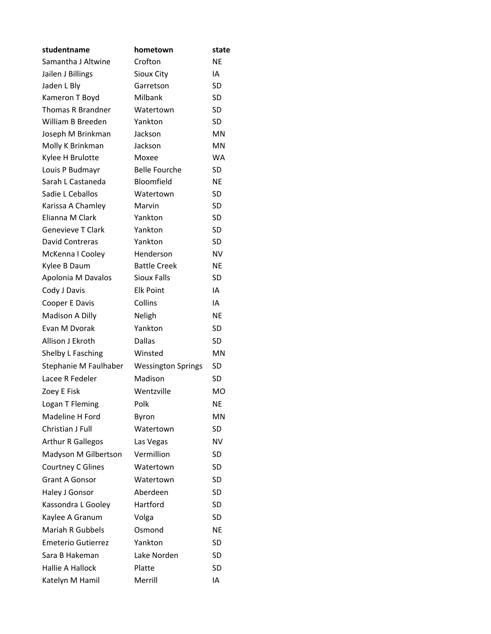| studentname               | hometown                  | state     |
|---------------------------|---------------------------|-----------|
| Samantha J Altwine        | Crofton                   | <b>NE</b> |
| Jailen J Billings         | Sioux City                | IA        |
| Jaden L Bly               | Garretson                 | SD        |
| Kameron T Boyd            | Milbank                   | SD        |
| Thomas R Brandner         | Watertown                 | SD        |
| William B Breeden         | Yankton                   | SD        |
| Joseph M Brinkman         | Jackson                   | <b>MN</b> |
| Molly K Brinkman          | Jackson                   | <b>MN</b> |
| Kylee H Brulotte          | Moxee                     | <b>WA</b> |
| Louis P Budmayr           | <b>Belle Fourche</b>      | <b>SD</b> |
| Sarah L Castaneda         | Bloomfield                | <b>NE</b> |
| Sadie L Ceballos          | Watertown                 | SD        |
| Karissa A Chamley         | Marvin                    | SD        |
| <b>Flianna M Clark</b>    | Yankton                   | SD        |
| <b>Genevieve T Clark</b>  | Yankton                   | SD        |
| David Contreras           | Yankton                   | SD        |
| McKenna I Cooley          | Henderson                 | <b>NV</b> |
| Kylee B Daum              | <b>Battle Creek</b>       | <b>NE</b> |
| Apolonia M Davalos        | <b>Sioux Falls</b>        | SD        |
| Cody J Davis              | <b>Elk Point</b>          | IA        |
| Cooper E Davis            | Collins                   | IA        |
| Madison A Dilly           | Neligh                    | <b>NE</b> |
| Evan M Dvorak             | Yankton                   | SD        |
| Allison J Ekroth          | <b>Dallas</b>             | SD        |
| Shelby L Fasching         | Winsted                   | ΜN        |
| Stephanie M Faulhaber     | <b>Wessington Springs</b> | SD        |
| Lacee R Fedeler           | Madison                   | SD        |
| Zoey E Fisk               | Wentzville                | <b>MO</b> |
| Logan T Fleming           | Polk                      | <b>NE</b> |
| Madeline H Ford           | Byron                     | MN        |
| Christian J Full          | Watertown                 | SD        |
| <b>Arthur R Gallegos</b>  | Las Vegas                 | <b>NV</b> |
| Madyson M Gilbertson      | Vermillion                | SD        |
| Courtney C Glines         | Watertown                 | <b>SD</b> |
| <b>Grant A Gonsor</b>     | Watertown                 | SD        |
| Haley J Gonsor            | Aberdeen                  | SD        |
| Kassondra L Gooley        | Hartford                  | SD        |
| Kaylee A Granum           | Volga                     | SD        |
| <b>Mariah R Gubbels</b>   | Osmond                    | <b>NE</b> |
| <b>Emeterio Gutierrez</b> | Yankton                   | SD        |
| Sara B Hakeman            | Lake Norden               | SD        |
| <b>Hallie A Hallock</b>   | Platte                    | <b>SD</b> |
| Katelyn M Hamil           | Merrill                   | IA        |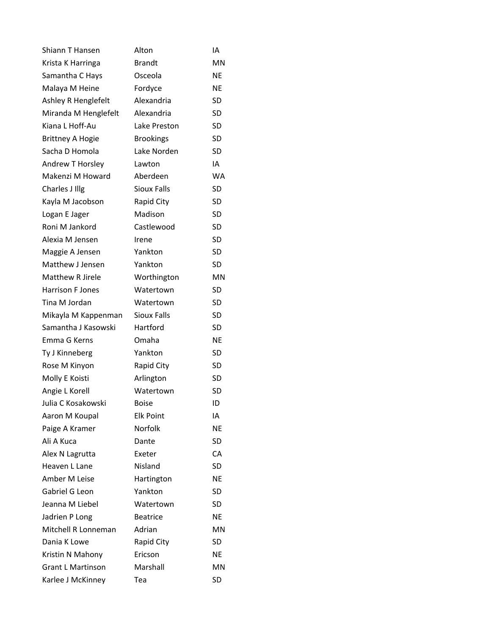| Shiann T Hansen          | Alton              | ΙA        |
|--------------------------|--------------------|-----------|
| Krista K Harringa        | <b>Brandt</b>      | MN        |
| Samantha C Hays          | Osceola            | <b>NE</b> |
| Malaya M Heine           | Fordyce            | NE        |
| Ashley R Henglefelt      | Alexandria         | SD        |
| Miranda M Henglefelt     | Alexandria         | <b>SD</b> |
| Kiana L Hoff-Au          | Lake Preston       | SD        |
| <b>Brittney A Hogie</b>  | <b>Brookings</b>   | SD        |
| Sacha D Homola           | Lake Norden        | <b>SD</b> |
| Andrew T Horsley         | Lawton             | IA        |
| Makenzi M Howard         | Aberdeen           | <b>WA</b> |
| Charles J Illg           | <b>Sioux Falls</b> | SD        |
| Kayla M Jacobson         | Rapid City         | SD        |
| Logan E Jager            | Madison            | SD        |
| Roni M Jankord           | Castlewood         | SD        |
| Alexia M Jensen          | Irene              | SD        |
| Maggie A Jensen          | Yankton            | SD        |
| Matthew J Jensen         | Yankton            | SD        |
| <b>Matthew R Jirele</b>  | Worthington        | MN        |
| <b>Harrison F Jones</b>  | Watertown          | SD        |
| Tina M Jordan            | Watertown          | <b>SD</b> |
| Mikayla M Kappenman      | <b>Sioux Falls</b> | SD        |
| Samantha J Kasowski      | Hartford           | SD        |
| Emma G Kerns             | Omaha              | <b>NE</b> |
| Ty J Kinneberg           | Yankton            | <b>SD</b> |
| Rose M Kinyon            | Rapid City         | SD        |
| Molly E Koisti           | Arlington          | SD        |
| Angie L Korell           | Watertown          | <b>SD</b> |
| Julia C Kosakowski       | Boise              | ID        |
| Aaron M Koupal           | <b>Elk Point</b>   | IA        |
| Paige A Kramer           | Norfolk            | NE        |
| Ali A Kuca               | Dante              | SD        |
| Alex N Lagrutta          | Exeter             | CA        |
| Heaven L Lane            | Nisland            | SD        |
| Amber M Leise            | Hartington         | NE        |
| Gabriel G Leon           | Yankton            | SD        |
| Jeanna M Liebel          | Watertown          | SD        |
| Jadrien P Long           | <b>Beatrice</b>    | NE        |
| Mitchell R Lonneman      | Adrian             | MN        |
| Dania K Lowe             | <b>Rapid City</b>  | SD        |
| Kristin N Mahony         | Ericson            | NE        |
| <b>Grant L Martinson</b> | Marshall           | MN        |
| Karlee J McKinney        | Tea                | SD        |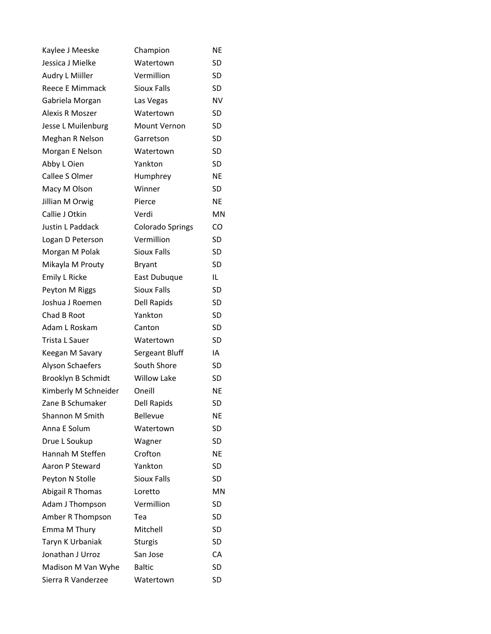| Kaylee J Meeske         | Champion                | NE        |
|-------------------------|-------------------------|-----------|
| Jessica J Mielke        | Watertown               | <b>SD</b> |
| Audry L Miiller         | Vermillion              | <b>SD</b> |
| Reece E Mimmack         | <b>Sioux Falls</b>      | SD        |
| Gabriela Morgan         | Las Vegas               | <b>NV</b> |
| Alexis R Moszer         | Watertown               | <b>SD</b> |
| Jesse L Muilenburg      | <b>Mount Vernon</b>     | <b>SD</b> |
| Meghan R Nelson         | Garretson               | SD        |
| Morgan E Nelson         | Watertown               | <b>SD</b> |
| Abby L Oien             | Yankton                 | SD        |
| Callee S Olmer          | Humphrey                | <b>NE</b> |
| Macy M Olson            | Winner                  | SD        |
| Jillian M Orwig         | Pierce                  | <b>NE</b> |
| Callie J Otkin          | Verdi                   | ΜN        |
| <b>Justin L Paddack</b> | <b>Colorado Springs</b> | CO        |
| Logan D Peterson        | Vermillion              | <b>SD</b> |
| Morgan M Polak          | <b>Sioux Falls</b>      | <b>SD</b> |
| Mikayla M Prouty        | <b>Bryant</b>           | <b>SD</b> |
| <b>Emily L Ricke</b>    | East Dubuque            | IL        |
| Peyton M Riggs          | <b>Sioux Falls</b>      | SD        |
| Joshua J Roemen         | Dell Rapids             | <b>SD</b> |
| Chad B Root             | Yankton                 | <b>SD</b> |
| Adam L Roskam           | Canton                  | <b>SD</b> |
| Trista L Sauer          | Watertown               | SD        |
| Keegan M Savary         | Sergeant Bluff          | IA        |
| Alyson Schaefers        | South Shore             | SD        |
| Brooklyn B Schmidt      | <b>Willow Lake</b>      | SD        |
| Kimberly M Schneider    | Oneill                  | <b>NE</b> |
| Zane B Schumaker        | <b>Dell Rapids</b>      | SD        |
| Shannon M Smith         | <b>Bellevue</b>         | ΝE        |
| Anna E Solum            | Watertown               | <b>SD</b> |
| Drue L Soukup           | Wagner                  | <b>SD</b> |
| Hannah M Steffen        | Crofton                 | <b>NE</b> |
| Aaron P Steward         | Yankton                 | SD        |
| Peyton N Stolle         | <b>Sioux Falls</b>      | SD        |
| Abigail R Thomas        | Loretto                 | MN        |
| Adam J Thompson         | Vermillion              | SD        |
| Amber R Thompson        | Tea                     | SD        |
| Emma M Thury            | Mitchell                | <b>SD</b> |
| Taryn K Urbaniak        | <b>Sturgis</b>          | SD        |
| Jonathan J Urroz        | San Jose                | CA        |
| Madison M Van Wyhe      | <b>Baltic</b>           | SD        |
| Sierra R Vanderzee      | Watertown               | SD        |